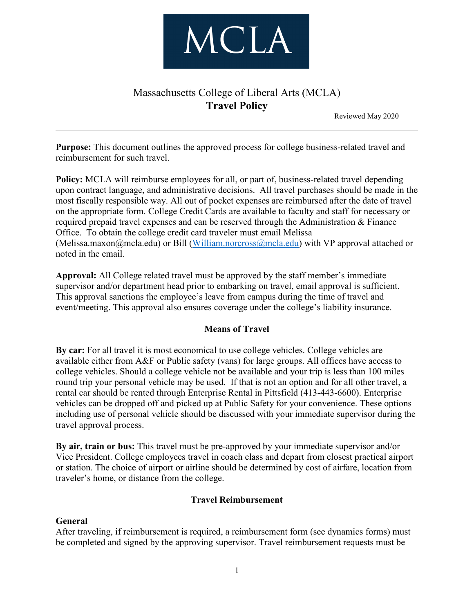

# Massachusetts College of Liberal Arts (MCLA) **Travel Policy**

Reviewed May 2020

**Purpose:** This document outlines the approved process for college business-related travel and reimbursement for such travel.

**Policy:** MCLA will reimburse employees for all, or part of, business-related travel depending upon contract language, and administrative decisions. All travel purchases should be made in the most fiscally responsible way. All out of pocket expenses are reimbursed after the date of travel on the appropriate form. College Credit Cards are available to faculty and staff for necessary or required prepaid travel expenses and can be reserved through the Administration & Finance Office. To obtain the college credit card traveler must email Melissa (Melissa.maxon@mcla.edu) or Bill [\(William.norcross@mcla.edu\)](mailto:William.norcross@mcla.edu) with VP approval attached or noted in the email.

**Approval:** All College related travel must be approved by the staff member's immediate supervisor and/or department head prior to embarking on travel, email approval is sufficient. This approval sanctions the employee's leave from campus during the time of travel and event/meeting. This approval also ensures coverage under the college's liability insurance.

## **Means of Travel**

**By car:** For all travel it is most economical to use college vehicles. College vehicles are available either from A&F or Public safety (vans) for large groups. All offices have access to college vehicles. Should a college vehicle not be available and your trip is less than 100 miles round trip your personal vehicle may be used. If that is not an option and for all other travel, a rental car should be rented through Enterprise Rental in Pittsfield (413-443-6600). Enterprise vehicles can be dropped off and picked up at Public Safety for your convenience. These options including use of personal vehicle should be discussed with your immediate supervisor during the travel approval process.

**By air, train or bus:** This travel must be pre-approved by your immediate supervisor and/or Vice President. College employees travel in coach class and depart from closest practical airport or station. The choice of airport or airline should be determined by cost of airfare, location from traveler's home, or distance from the college.

## **Travel Reimbursement**

## **General**

After traveling, if reimbursement is required, a reimbursement form (see dynamics forms) must be completed and signed by the approving supervisor. Travel reimbursement requests must be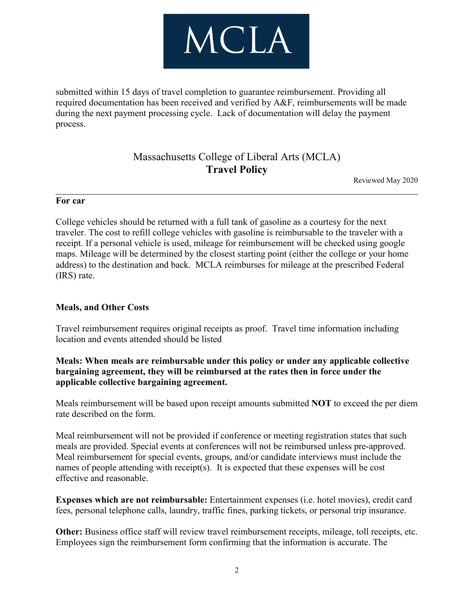

submitted within 15 days of travel completion to guarantee reimbursement. Providing all required documentation has been received and verified by A&F, reimbursements will be made during the next payment processing cycle. Lack of documentation will delay the payment process.

# Massachusetts College of Liberal Arts (MCLA) **Travel Policy**

Reviewed May 2020

#### **For car**

College vehicles should be returned with a full tank of gasoline as a courtesy for the next traveler. The cost to refill college vehicles with gasoline is reimbursable to the traveler with a receipt. If a personal vehicle is used, mileage for reimbursement will be checked using google maps. Mileage will be determined by the closest starting point (either the college or your home address) to the destination and back. MCLA reimburses for mileage at the prescribed Federal (IRS) rate.

## **Meals, and Other Costs**

Travel reimbursement requires original receipts as proof. Travel time information including location and events attended should be listed

# **Meals: When meals are reimbursable under this policy or under any applicable collective bargaining agreement, they will be reimbursed at the rates then in force under the applicable collective bargaining agreement.**

Meals reimbursement will be based upon receipt amounts submitted **NOT** to exceed the per diem rate described on the form.

Meal reimbursement will not be provided if conference or meeting registration states that such meals are provided. Special events at conferences will not be reimbursed unless pre-approved. Meal reimbursement for special events, groups, and/or candidate interviews must include the names of people attending with receipt(s). It is expected that these expenses will be cost effective and reasonable.

**Expenses which are not reimbursable:** Entertainment expenses (i.e. hotel movies), credit card fees, personal telephone calls, laundry, traffic fines, parking tickets, or personal trip insurance.

**Other:** Business office staff will review travel reimbursement receipts, mileage, toll receipts, etc. Employees sign the reimbursement form confirming that the information is accurate. The